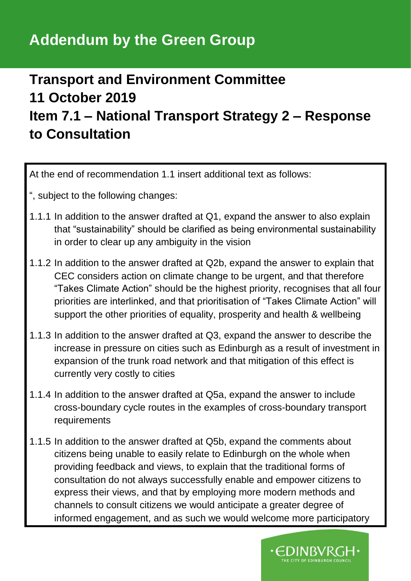## **Addendum by the Green Group**

## **Transport and Environment Committee 11 October 2019 Item 7.1 – National Transport Strategy 2 – Response to Consultation**

At the end of recommendation 1.1 insert additional text as follows:

- ", subject to the following changes:
- 1.1.1 In addition to the answer drafted at Q1, expand the answer to also explain that "sustainability" should be clarified as being environmental sustainability in order to clear up any ambiguity in the vision
- 1.1.2 In addition to the answer drafted at Q2b, expand the answer to explain that CEC considers action on climate change to be urgent, and that therefore "Takes Climate Action" should be the highest priority, recognises that all four priorities are interlinked, and that prioritisation of "Takes Climate Action" will support the other priorities of equality, prosperity and health & wellbeing
- 1.1.3 In addition to the answer drafted at Q3, expand the answer to describe the increase in pressure on cities such as Edinburgh as a result of investment in expansion of the trunk road network and that mitigation of this effect is currently very costly to cities
- 1.1.4 In addition to the answer drafted at Q5a, expand the answer to include cross-boundary cycle routes in the examples of cross-boundary transport requirements
- 1.1.5 In addition to the answer drafted at Q5b, expand the comments about citizens being unable to easily relate to Edinburgh on the whole when providing feedback and views, to explain that the traditional forms of consultation do not always successfully enable and empower citizens to express their views, and that by employing more modern methods and channels to consult citizens we would anticipate a greater degree of informed engagement, and as such we would welcome more participatory

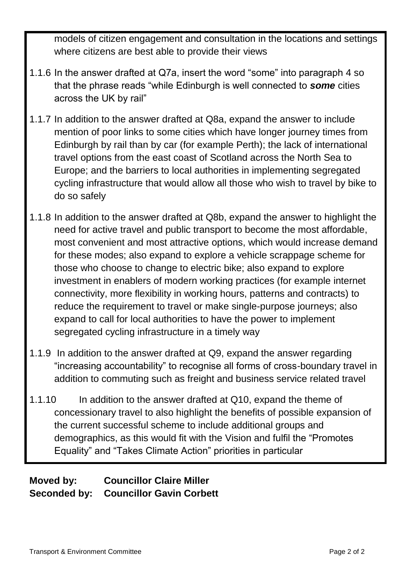models of citizen engagement and consultation in the locations and settings where citizens are best able to provide their views

- 1.1.6 In the answer drafted at Q7a, insert the word "some" into paragraph 4 so that the phrase reads "while Edinburgh is well connected to *some* cities across the UK by rail"
- 1.1.7 In addition to the answer drafted at Q8a, expand the answer to include mention of poor links to some cities which have longer journey times from Edinburgh by rail than by car (for example Perth); the lack of international travel options from the east coast of Scotland across the North Sea to Europe; and the barriers to local authorities in implementing segregated cycling infrastructure that would allow all those who wish to travel by bike to do so safely
- 1.1.8 In addition to the answer drafted at Q8b, expand the answer to highlight the need for active travel and public transport to become the most affordable, most convenient and most attractive options, which would increase demand for these modes; also expand to explore a vehicle scrappage scheme for those who choose to change to electric bike; also expand to explore investment in enablers of modern working practices (for example internet connectivity, more flexibility in working hours, patterns and contracts) to reduce the requirement to travel or make single-purpose journeys; also expand to call for local authorities to have the power to implement segregated cycling infrastructure in a timely way
- 1.1.9 In addition to the answer drafted at Q9, expand the answer regarding "increasing accountability" to recognise all forms of cross-boundary travel in addition to commuting such as freight and business service related travel
- 1.1.10 In addition to the answer drafted at Q10, expand the theme of concessionary travel to also highlight the benefits of possible expansion of the current successful scheme to include additional groups and demographics, as this would fit with the Vision and fulfil the "Promotes Equality" and "Takes Climate Action" priorities in particular

#### **Moved by: Councillor Claire Miller Seconded by: Councillor Gavin Corbett**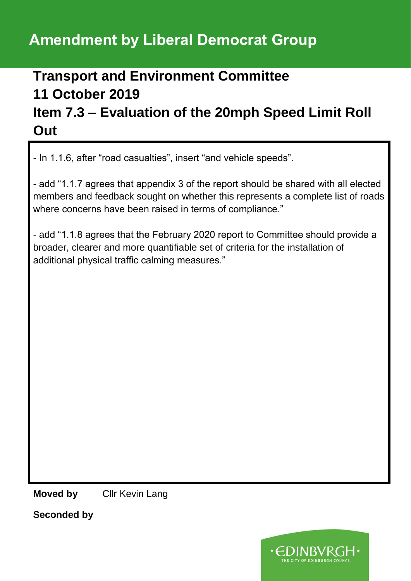## **Amendment by Liberal Democrat Group**

## **Transport and Environment Committee 11 October 2019 Item 7.3 – Evaluation of the 20mph Speed Limit Roll Out**

- In 1.1.6, after "road casualties", insert "and vehicle speeds".

- add "1.1.7 agrees that appendix 3 of the report should be shared with all elected members and feedback sought on whether this represents a complete list of roads where concerns have been raised in terms of compliance."

- add "1.1.8 agrees that the February 2020 report to Committee should provide a broader, clearer and more quantifiable set of criteria for the installation of additional physical traffic calming measures."

**Moved by** Cllr Kevin Lang

**Seconded by**

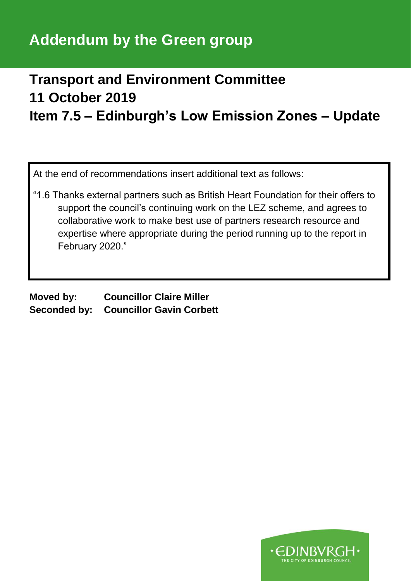## **Addendum by the Green group**

#### **Transport and Environment Committee 11 October 2019 Item 7.5 – Edinburgh's Low Emission Zones – Update**

At the end of recommendations insert additional text as follows:

"1.6 Thanks external partners such as British Heart Foundation for their offers to support the council's continuing work on the LEZ scheme, and agrees to collaborative work to make best use of partners research resource and expertise where appropriate during the period running up to the report in February 2020."

**Moved by: Councillor Claire Miller Seconded by: Councillor Gavin Corbett**

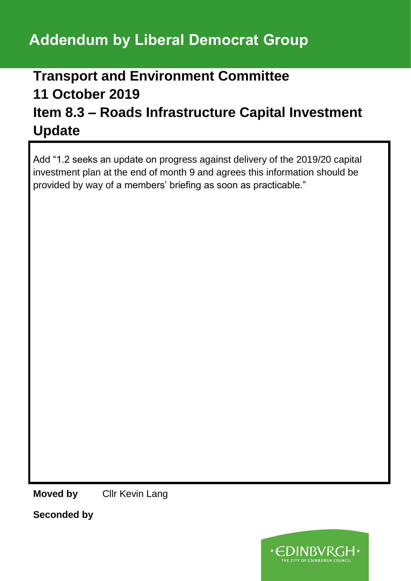# **Addendum by Liberal Democrat Group**

## **Transport and Environment Committee 11 October 2019 Item 8.3 – Roads Infrastructure Capital Investment Update**

Add "1.2 seeks an update on progress against delivery of the 2019/20 capital investment plan at the end of month 9 and agrees this information should be provided by way of a members' briefing as soon as practicable."

**Moved by** Cllr Kevin Lang

**Seconded by**